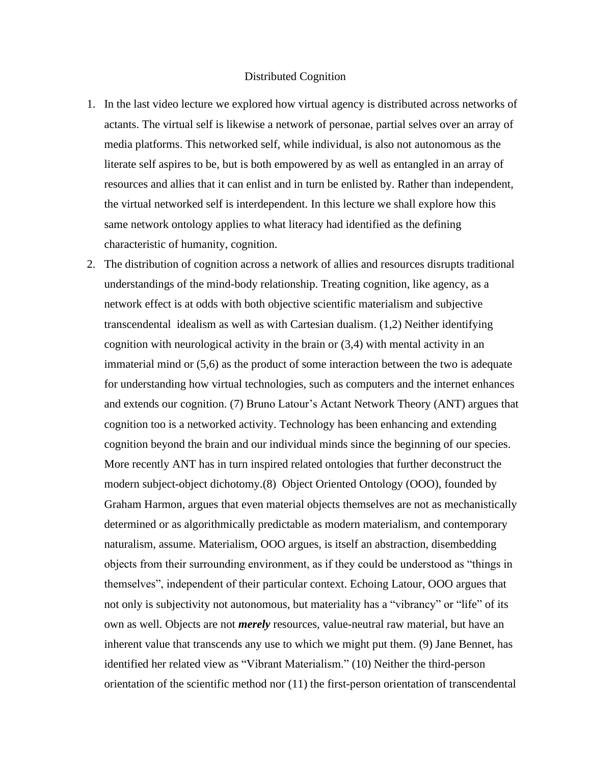## Distributed Cognition

- 1. In the last video lecture we explored how virtual agency is distributed across networks of actants. The virtual self is likewise a network of personae, partial selves over an array of media platforms. This networked self, while individual, is also not autonomous as the literate self aspires to be, but is both empowered by as well as entangled in an array of resources and allies that it can enlist and in turn be enlisted by. Rather than independent, the virtual networked self is interdependent. In this lecture we shall explore how this same network ontology applies to what literacy had identified as the defining characteristic of humanity, cognition.
- 2. The distribution of cognition across a network of allies and resources disrupts traditional understandings of the mind-body relationship. Treating cognition, like agency, as a network effect is at odds with both objective scientific materialism and subjective transcendental idealism as well as with Cartesian dualism. (1,2) Neither identifying cognition with neurological activity in the brain or (3,4) with mental activity in an immaterial mind or (5,6) as the product of some interaction between the two is adequate for understanding how virtual technologies, such as computers and the internet enhances and extends our cognition. (7) Bruno Latour's Actant Network Theory (ANT) argues that cognition too is a networked activity. Technology has been enhancing and extending cognition beyond the brain and our individual minds since the beginning of our species. More recently ANT has in turn inspired related ontologies that further deconstruct the modern subject-object dichotomy.(8) Object Oriented Ontology (OOO), founded by Graham Harmon, argues that even material objects themselves are not as mechanistically determined or as algorithmically predictable as modern materialism, and contemporary naturalism, assume. Materialism, OOO argues, is itself an abstraction, disembedding objects from their surrounding environment, as if they could be understood as "things in themselves", independent of their particular context. Echoing Latour, OOO argues that not only is subjectivity not autonomous, but materiality has a "vibrancy" or "life" of its own as well. Objects are not *merely* resources, value-neutral raw material, but have an inherent value that transcends any use to which we might put them. (9) Jane Bennet, has identified her related view as "Vibrant Materialism." (10) Neither the third-person orientation of the scientific method nor (11) the first-person orientation of transcendental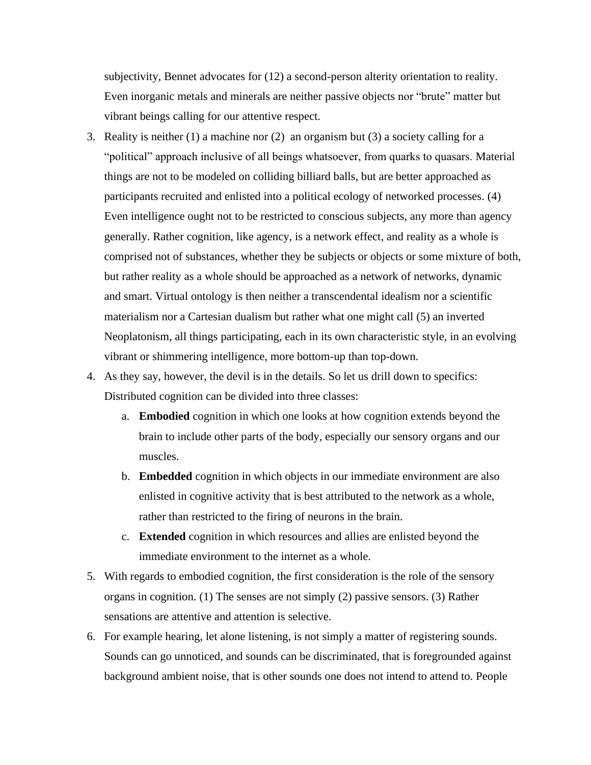subjectivity, Bennet advocates for (12) a second-person alterity orientation to reality. Even inorganic metals and minerals are neither passive objects nor "brute" matter but vibrant beings calling for our attentive respect.

- 3. Reality is neither (1) a machine nor (2) an organism but (3) a society calling for a "political" approach inclusive of all beings whatsoever, from quarks to quasars. Material things are not to be modeled on colliding billiard balls, but are better approached as participants recruited and enlisted into a political ecology of networked processes. (4) Even intelligence ought not to be restricted to conscious subjects, any more than agency generally. Rather cognition, like agency, is a network effect, and reality as a whole is comprised not of substances, whether they be subjects or objects or some mixture of both, but rather reality as a whole should be approached as a network of networks, dynamic and smart. Virtual ontology is then neither a transcendental idealism nor a scientific materialism nor a Cartesian dualism but rather what one might call (5) an inverted Neoplatonism, all things participating, each in its own characteristic style, in an evolving vibrant or shimmering intelligence, more bottom-up than top-down.
- 4. As they say, however, the devil is in the details. So let us drill down to specifics: Distributed cognition can be divided into three classes:
	- a. **Embodied** cognition in which one looks at how cognition extends beyond the brain to include other parts of the body, especially our sensory organs and our muscles.
	- b. **Embedded** cognition in which objects in our immediate environment are also enlisted in cognitive activity that is best attributed to the network as a whole, rather than restricted to the firing of neurons in the brain.
	- c. **Extended** cognition in which resources and allies are enlisted beyond the immediate environment to the internet as a whole.
- 5. With regards to embodied cognition, the first consideration is the role of the sensory organs in cognition. (1) The senses are not simply (2) passive sensors. (3) Rather sensations are attentive and attention is selective.
- 6. For example hearing, let alone listening, is not simply a matter of registering sounds. Sounds can go unnoticed, and sounds can be discriminated, that is foregrounded against background ambient noise, that is other sounds one does not intend to attend to. People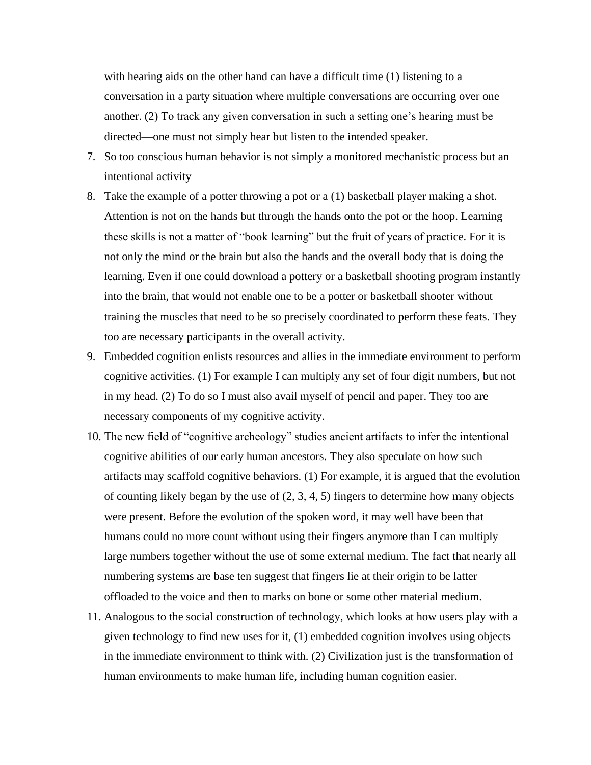with hearing aids on the other hand can have a difficult time (1) listening to a conversation in a party situation where multiple conversations are occurring over one another. (2) To track any given conversation in such a setting one's hearing must be directed—one must not simply hear but listen to the intended speaker.

- 7. So too conscious human behavior is not simply a monitored mechanistic process but an intentional activity
- 8. Take the example of a potter throwing a pot or a (1) basketball player making a shot. Attention is not on the hands but through the hands onto the pot or the hoop. Learning these skills is not a matter of "book learning" but the fruit of years of practice. For it is not only the mind or the brain but also the hands and the overall body that is doing the learning. Even if one could download a pottery or a basketball shooting program instantly into the brain, that would not enable one to be a potter or basketball shooter without training the muscles that need to be so precisely coordinated to perform these feats. They too are necessary participants in the overall activity.
- 9. Embedded cognition enlists resources and allies in the immediate environment to perform cognitive activities. (1) For example I can multiply any set of four digit numbers, but not in my head. (2) To do so I must also avail myself of pencil and paper. They too are necessary components of my cognitive activity.
- 10. The new field of "cognitive archeology" studies ancient artifacts to infer the intentional cognitive abilities of our early human ancestors. They also speculate on how such artifacts may scaffold cognitive behaviors. (1) For example, it is argued that the evolution of counting likely began by the use of  $(2, 3, 4, 5)$  fingers to determine how many objects were present. Before the evolution of the spoken word, it may well have been that humans could no more count without using their fingers anymore than I can multiply large numbers together without the use of some external medium. The fact that nearly all numbering systems are base ten suggest that fingers lie at their origin to be latter offloaded to the voice and then to marks on bone or some other material medium.
- 11. Analogous to the social construction of technology, which looks at how users play with a given technology to find new uses for it, (1) embedded cognition involves using objects in the immediate environment to think with. (2) Civilization just is the transformation of human environments to make human life, including human cognition easier.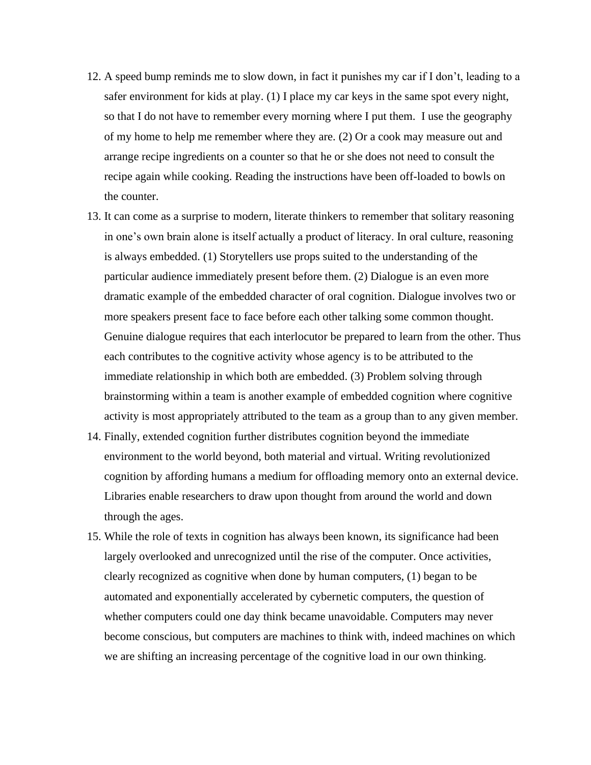- 12. A speed bump reminds me to slow down, in fact it punishes my car if I don't, leading to a safer environment for kids at play. (1) I place my car keys in the same spot every night, so that I do not have to remember every morning where I put them. I use the geography of my home to help me remember where they are. (2) Or a cook may measure out and arrange recipe ingredients on a counter so that he or she does not need to consult the recipe again while cooking. Reading the instructions have been off-loaded to bowls on the counter.
- 13. It can come as a surprise to modern, literate thinkers to remember that solitary reasoning in one's own brain alone is itself actually a product of literacy. In oral culture, reasoning is always embedded. (1) Storytellers use props suited to the understanding of the particular audience immediately present before them. (2) Dialogue is an even more dramatic example of the embedded character of oral cognition. Dialogue involves two or more speakers present face to face before each other talking some common thought. Genuine dialogue requires that each interlocutor be prepared to learn from the other. Thus each contributes to the cognitive activity whose agency is to be attributed to the immediate relationship in which both are embedded. (3) Problem solving through brainstorming within a team is another example of embedded cognition where cognitive activity is most appropriately attributed to the team as a group than to any given member.
- 14. Finally, extended cognition further distributes cognition beyond the immediate environment to the world beyond, both material and virtual. Writing revolutionized cognition by affording humans a medium for offloading memory onto an external device. Libraries enable researchers to draw upon thought from around the world and down through the ages.
- 15. While the role of texts in cognition has always been known, its significance had been largely overlooked and unrecognized until the rise of the computer. Once activities, clearly recognized as cognitive when done by human computers, (1) began to be automated and exponentially accelerated by cybernetic computers, the question of whether computers could one day think became unavoidable. Computers may never become conscious, but computers are machines to think with, indeed machines on which we are shifting an increasing percentage of the cognitive load in our own thinking.